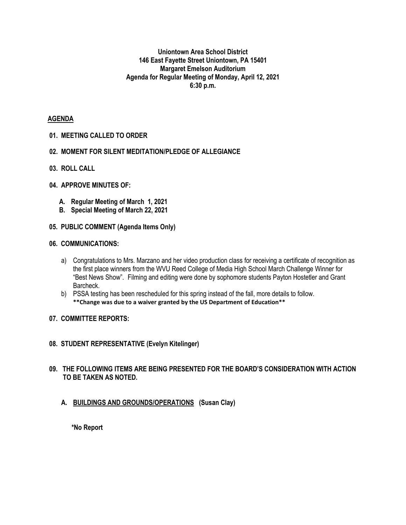#### **Uniontown Area School District 146 East Fayette Street Uniontown, PA 15401 Margaret Emelson Auditorium Agenda for Regular Meeting of Monday, April 12, 2021 6:30 p.m.**

#### **AGENDA**

#### **01. MEETING CALLED TO ORDER**

- **02. MOMENT FOR SILENT MEDITATION/PLEDGE OF ALLEGIANCE**
- **03. ROLL CALL**

## **04. APPROVE MINUTES OF:**

- **A. Regular Meeting of March 1, 2021**
- **B. Special Meeting of March 22, 2021**
- **05. PUBLIC COMMENT (Agenda Items Only)**

#### **06. COMMUNICATIONS:**

- a) Congratulations to Mrs. Marzano and her video production class for receiving a certificate of recognition as the first place winners from the WVU Reed College of Media High School March Challenge Winner for "Best News Show". Filming and editing were done by sophomore students Payton Hostetler and Grant Barcheck.
- b) PSSA testing has been rescheduled for this spring instead of the fall, more details to follow. **\*\*Change was due to a waiver granted by the US Department of Education\*\***

#### **07. COMMITTEE REPORTS:**

#### **08. STUDENT REPRESENTATIVE (Evelyn Kitelinger)**

#### **09. THE FOLLOWING ITEMS ARE BEING PRESENTED FOR THE BOARD'S CONSIDERATION WITH ACTION TO BE TAKEN AS NOTED.**

**A. BUILDINGS AND GROUNDS/OPERATIONS (Susan Clay)**

**\*No Report**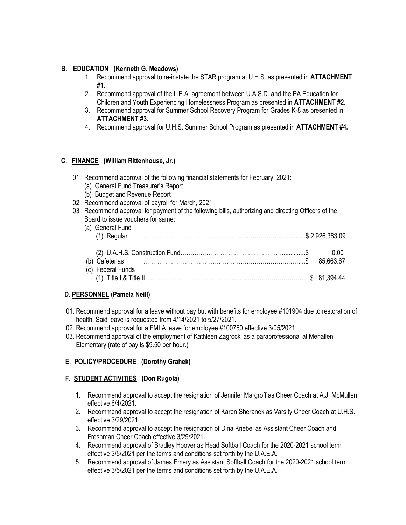## **B. EDUCATION (Kenneth G. Meadows)**

- 1. Recommend approval to re-instate the STAR program at U.H.S. as presented in **ATTACHMENT #1.**
- 2. Recommend approval of the L.E.A. agreement between U.A.S.D. and the PA Education for Children and Youth Experiencing Homelessness Program as presented in **ATTACHMENT #2**.
- 3. Recommend approval for Summer School Recovery Program for Grades K-8 as presented in **ATTACHMENT #3**.
- 4. Recommend approval for U.H.S. Summer School Program as presented in **ATTACHMENT #4.**

## **C. FINANCE (William Rittenhouse, Jr.)**

- 01. Recommend approval of the following financial statements for February, 2021:
	- (a) General Fund Treasurer's Report
	- (b) Budget and Revenue Report
- 02. Recommend approval of payroll for March, 2021.
- 03. Recommend approval for payment of the following bills, authorizing and directing Officers of the Board to issue vouchers for same:

| (a) General Fund<br>(1) Regular |           |       |
|---------------------------------|-----------|-------|
|                                 |           | -0.00 |
|                                 | 85.663.67 |       |
| (c) Federal Funds               |           |       |
|                                 |           |       |

#### **D. PERSONNEL (Pamela Neill)**

- 01. Recommend approval for a leave without pay but with benefits for employee #101904 due to restoration of health. Said leave is requested from 4/14/2021 to 5/27/2021.
- 02. Recommend approval for a FMLA leave for employee #100750 effective 3/05/2021.
- 03. Recommend approval of the employment of Kathleen Zagrocki as a paraprofessional at Menallen Elementary (rate of pay is \$9.50 per hour.)

#### **E. POLICY/PROCEDURE (Dorothy Grahek)**

#### **F. STUDENT ACTIVITIES (Don Rugola)**

- 1. Recommend approval to accept the resignation of Jennifer Margroff as Cheer Coach at A.J. McMullen effective 6/4/2021.
- 2. Recommend approval to accept the resignation of Karen Sheranek as Varsity Cheer Coach at U.H.S. effective 3/29/2021.
- 3. Recommend approval to accept the resignation of Dina Kriebel as Assistant Cheer Coach and Freshman Cheer Coach effective 3/29/2021.
- 4. Recommend approval of Bradley Hoover as Head Softball Coach for the 2020-2021 school term effective 3/5/2021 per the terms and conditions set forth by the U.A.E.A.
- 5. Recommend approval of James Emery as Assistant Softball Coach for the 2020-2021 school term effective 3/5/2021 per the terms and conditions set forth by the U.A.E.A.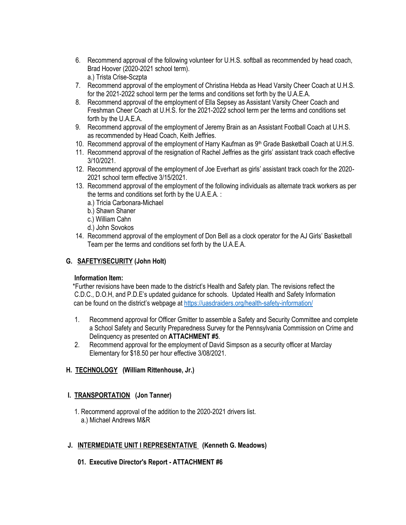- 6. Recommend approval of the following volunteer for U.H.S. softball as recommended by head coach, Brad Hoover (2020-2021 school term). a.) Trista Crise-Sczpta
- 7. Recommend approval of the employment of Christina Hebda as Head Varsity Cheer Coach at U.H.S. for the 2021-2022 school term per the terms and conditions set forth by the U.A.E.A.
- 8. Recommend approval of the employment of Ella Sepsey as Assistant Varsity Cheer Coach and Freshman Cheer Coach at U.H.S. for the 2021-2022 school term per the terms and conditions set forth by the U.A.E.A.
- 9. Recommend approval of the employment of Jeremy Brain as an Assistant Football Coach at U.H.S. as recommended by Head Coach, Keith Jeffries.
- 10. Recommend approval of the employment of Harry Kaufman as  $9<sup>th</sup>$  Grade Basketball Coach at U.H.S.
- 11. Recommend approval of the resignation of Rachel Jeffries as the girls' assistant track coach effective 3/10/2021.
- 12. Recommend approval of the employment of Joe Everhart as girls' assistant track coach for the 2020- 2021 school term effective 3/15/2021.
- 13. Recommend approval of the employment of the following individuals as alternate track workers as per the terms and conditions set forth by the U.A.E.A. :
	- a.) Tricia Carbonara-Michael
	- b.) Shawn Shaner
	- c.) William Cahn
	- d.) John Sovokos
- 14. Recommend approval of the employment of Don Bell as a clock operator for the AJ Girls' Basketball Team per the terms and conditions set forth by the U.A.E.A.

# **G. SAFETY/SECURITY (John Holt)**

#### **Information Item:**

 \*Further revisions have been made to the district's Health and Safety plan. The revisions reflect the C.D.C., D.O.H, and P.D.E's updated guidance for schools. Updated Health and Safety Information can be found on the district's webpage at <https://uasdraiders.org/health-safety-information/>

- 1. Recommend approval for Officer Gmitter to assemble a Safety and Security Committee and complete a School Safety and Security Preparedness Survey for the Pennsylvania Commission on Crime and Delinquency as presented on **ATTACHMENT #5**.
- 2. Recommend approval for the employment of David Simpson as a security officer at Marclay Elementary for \$18.50 per hour effective 3/08/2021.

# **H. TECHNOLOGY (William Rittenhouse, Jr.)**

# **I. TRANSPORTATION (Jon Tanner)**

 1. Recommend approval of the addition to the 2020-2021 drivers list. a.) Michael Andrews M&R

# **J. INTERMEDIATE UNIT I REPRESENTATIVE (Kenneth G. Meadows)**

 **01. Executive Director's Report - ATTACHMENT #6**